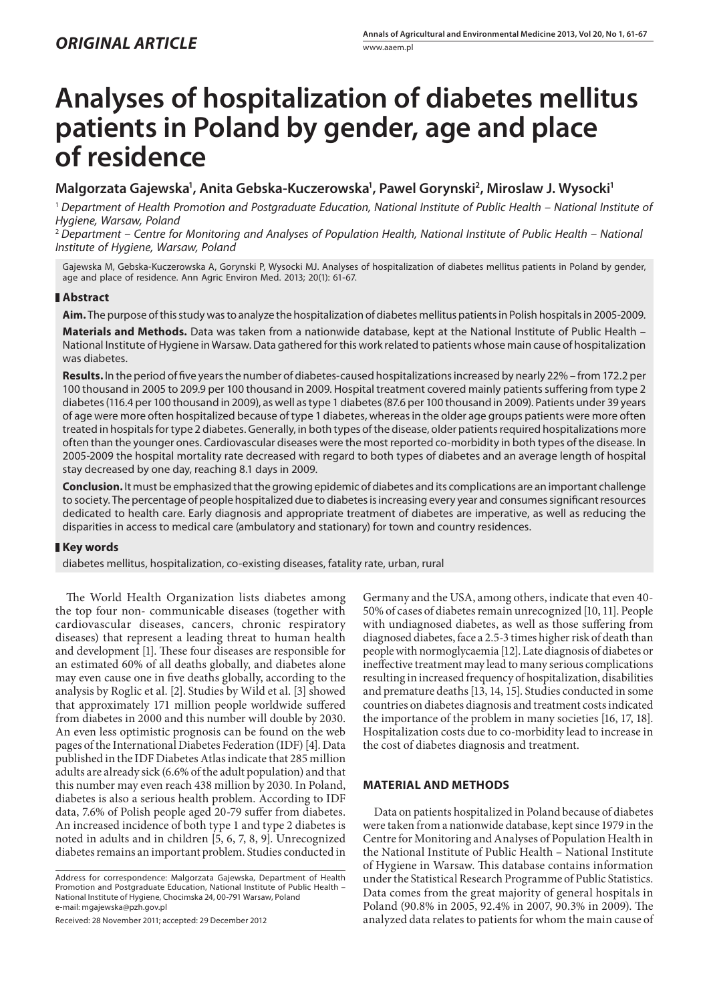# **Analyses of hospitalization of diabetes mellitus patients in Poland by gender, age and place of residence**

# Malgorzata Gajewska<sup>1</sup>, Anita Gebska-Kuczerowska<sup>1</sup>, Pawel Gorynski<sup>2</sup>, Miroslaw J. Wysocki<sup>1</sup>

<sup>1</sup> *Department of Health Promotion and Postgraduate Education, National Institute of Public Health – National Institute of Hygiene, Warsaw, Poland*

<sup>2</sup> *Department – Centre for Monitoring and Analyses of Population Health, National Institute of Public Health – National Institute of Hygiene, Warsaw, Poland*

Gajewska M, Gebska-Kuczerowska A, Gorynski P, Wysocki MJ. Analyses of hospitalization of diabetes mellitus patients in Poland by gender, age and place of residence. Ann Agric Environ Med. 2013; 20(1): 61-67.

## **Abstract**

**Aim.** The purpose of this study was to analyze the hospitalization of diabetes mellitus patients in Polish hospitals in 2005-2009.

**Materials and Methods.** Data was taken from a nationwide database, kept at the National Institute of Public Health – National Institute of Hygiene in Warsaw. Data gathered for this work related to patients whose main cause of hospitalization was diabetes.

**Results.** In the period of five years the number of diabetes-caused hospitalizations increased by nearly 22% – from 172.2 per 100 thousand in 2005 to 209.9 per 100 thousand in 2009. Hospital treatment covered mainly patients suffering from type 2 diabetes (116.4 per 100 thousand in 2009), as well as type 1 diabetes (87.6 per 100 thousand in 2009). Patients under 39 years of age were more often hospitalized because of type 1 diabetes, whereas in the older age groups patients were more often treated in hospitals for type 2 diabetes. Generally, in both types of the disease, older patients required hospitalizations more often than the younger ones. Cardiovascular diseases were the most reported co-morbidity in both types of the disease. In 2005-2009 the hospital mortality rate decreased with regard to both types of diabetes and an average length of hospital stay decreased by one day, reaching 8.1 days in 2009.

**Conclusion.** It must be emphasized that the growing epidemic of diabetes and its complications are an important challenge to society. The percentage of people hospitalized due to diabetes is increasing every year and consumes significant resources dedicated to health care. Early diagnosis and appropriate treatment of diabetes are imperative, as well as reducing the disparities in access to medical care (ambulatory and stationary) for town and country residences.

## **Key words**

diabetes mellitus, hospitalization, co-existing diseases, fatality rate, urban, rural

The World Health Organization lists diabetes among the top four non- communicable diseases (together with cardiovascular diseases, cancers, chronic respiratory diseases) that represent a leading threat to human health and development [1]. These four diseases are responsible for an estimated 60% of all deaths globally, and diabetes alone may even cause one in five deaths globally, according to the analysis by Roglic et al. [2]. Studies by Wild et al. [3] showed that approximately 171 million people worldwide suffered from diabetes in 2000 and this number will double by 2030. An even less optimistic prognosis can be found on the web pages of the International Diabetes Federation (IDF) [4]. Data published in the IDF Diabetes Atlas indicate that 285 million adults are already sick (6.6% of the adult population) and that this number may even reach 438 million by 2030. In Poland, diabetes is also a serious health problem. According to IDF data, 7.6% of Polish people aged 20-79 suffer from diabetes. An increased incidence of both type 1 and type 2 diabetes is noted in adults and in children [5, 6, 7, 8, 9]. Unrecognized diabetes remains an important problem. Studies conducted in

Received: 28 November 2011; accepted: 29 December 2012

Germany and the USA, among others, indicate that even 40- 50% of cases of diabetes remain unrecognized [10, 11]. People with undiagnosed diabetes, as well as those suffering from diagnosed diabetes, face a 2.5-3 times higher risk of death than people with normoglycaemia [12]. Late diagnosis of diabetes or ineffective treatment may lead to many serious complications resulting in increased frequency of hospitalization, disabilities and premature deaths [13, 14, 15]. Studies conducted in some countries on diabetes diagnosis and treatment costs indicated the importance of the problem in many societies [16, 17, 18]. Hospitalization costs due to co-morbidity lead to increase in the cost of diabetes diagnosis and treatment.

#### **MATERIAL AND METHODS**

Data on patients hospitalized in Poland because of diabetes were taken from a nationwide database, kept since 1979 in the Centre for Monitoring and Analyses of Population Health in the National Institute of Public Health – National Institute of Hygiene in Warsaw. This database contains information under the Statistical Research Programme of Public Statistics. Data comes from the great majority of general hospitals in Poland (90.8% in 2005, 92.4% in 2007, 90.3% in 2009). The analyzed data relates to patients for whom the main cause of

Address for correspondence: Malgorzata Gajewska, Department of Health Promotion and Postgraduate Education, National Institute of Public Health – National Institute of Hygiene, Chocimska 24, 00-791 Warsaw, Poland e-mail: mgajewska@pzh.gov.pl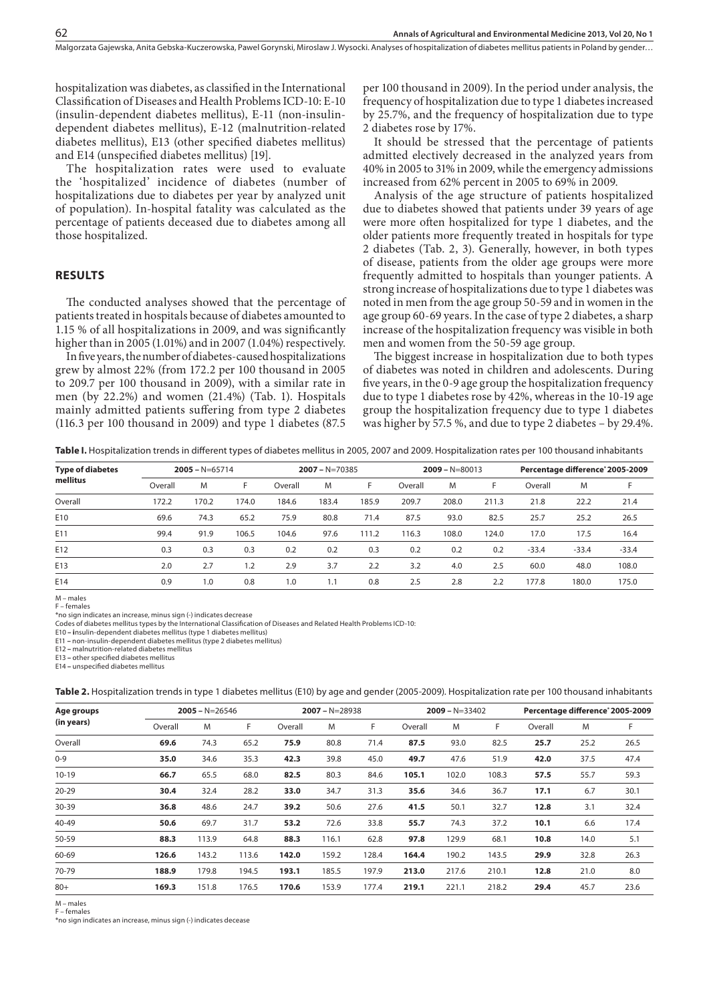hospitalization was diabetes, as classified in the International Classification of Diseases and Health Problems ICD-10: E-10 (insulin-dependent diabetes mellitus), E-11 (non-insulindependent diabetes mellitus), E-12 (malnutrition-related diabetes mellitus), E13 (other specified diabetes mellitus) and E14 (unspecified diabetes mellitus) [19].

The hospitalization rates were used to evaluate the 'hospitalized' incidence of diabetes (number of hospitalizations due to diabetes per year by analyzed unit of population). In-hospital fatality was calculated as the percentage of patients deceased due to diabetes among all those hospitalized.

#### **RESULTS**

The conducted analyses showed that the percentage of patients treated in hospitals because of diabetes amounted to 1.15 % of all hospitalizations in 2009, and was significantly higher than in 2005 (1.01%) and in 2007 (1.04%) respectively.

In five years, the number of diabetes-caused hospitalizations grew by almost 22% (from 172.2 per 100 thousand in 2005 to 209.7 per 100 thousand in 2009), with a similar rate in men (by 22.2%) and women (21.4%) (Tab. 1). Hospitals mainly admitted patients suffering from type 2 diabetes (116.3 per 100 thousand in 2009) and type 1 diabetes (87.5

per 100 thousand in 2009). In the period under analysis, the frequency of hospitalization due to type 1 diabetes increased by 25.7%, and the frequency of hospitalization due to type 2 diabetes rose by 17%.

It should be stressed that the percentage of patients admitted electively decreased in the analyzed years from 40% in 2005 to 31% in 2009, while the emergency admissions increased from 62% percent in 2005 to 69% in 2009.

Analysis of the age structure of patients hospitalized due to diabetes showed that patients under 39 years of age were more often hospitalized for type 1 diabetes, and the older patients more frequently treated in hospitals for type 2 diabetes (Tab. 2, 3). Generally, however, in both types of disease, patients from the older age groups were more frequently admitted to hospitals than younger patients. A strong increase of hospitalizations due to type 1 diabetes was noted in men from the age group 50-59 and in women in the age group 60-69 years. In the case of type 2 diabetes, a sharp increase of the hospitalization frequency was visible in both men and women from the 50-59 age group.

The biggest increase in hospitalization due to both types of diabetes was noted in children and adolescents. During five years, in the 0-9 age group the hospitalization frequency due to type 1 diabetes rose by 42%, whereas in the 10-19 age group the hospitalization frequency due to type 1 diabetes was higher by 57.5 %, and due to type 2 diabetes – by 29.4%.

**Table I.** Hospitalization trends in different types of diabetes mellitus in 2005, 2007 and 2009. Hospitalization rates per 100 thousand inhabitants

| <b>Type of diabetes</b><br>mellitus |         | $2005 - N = 65714$ |       |         | $2007 - N = 70385$ |       |         | $2009 - N = 80013$ |       | Percentage difference <sup>®</sup> 2005-2009 |         |         |  |
|-------------------------------------|---------|--------------------|-------|---------|--------------------|-------|---------|--------------------|-------|----------------------------------------------|---------|---------|--|
|                                     | Overall | M                  | F.    | Overall | M                  | F     | Overall | M                  | F     | Overall                                      | M       | F.      |  |
| Overall                             | 172.2   | 170.2              | 174.0 | 184.6   | 183.4              | 185.9 | 209.7   | 208.0              | 211.3 | 21.8                                         | 22.2    | 21.4    |  |
| E10                                 | 69.6    | 74.3               | 65.2  | 75.9    | 80.8               | 71.4  | 87.5    | 93.0               | 82.5  | 25.7                                         | 25.2    | 26.5    |  |
| E11                                 | 99.4    | 91.9               | 106.5 | 104.6   | 97.6               | 111.2 | 116.3   | 108.0              | 124.0 | 17.0                                         | 17.5    | 16.4    |  |
| E12                                 | 0.3     | 0.3                | 0.3   | 0.2     | 0.2                | 0.3   | 0.2     | 0.2                | 0.2   | $-33.4$                                      | $-33.4$ | $-33.4$ |  |
| E13                                 | 2.0     | 2.7                | 1.2   | 2.9     | 3.7                | 2.2   | 3.2     | 4.0                | 2.5   | 60.0                                         | 48.0    | 108.0   |  |
| E14                                 | 0.9     | 1.0                | 0.8   | 1.0     | 1.1                | 0.8   | 2.5     | 2.8                | 2.2   | 177.8                                        | 180.0   | 175.0   |  |

M – males F – females

\*no sign indicates an increase, minus sign (-) indicates decrease

Codes of diabetes mellitus types by the International Classification of Diseases and Related Health Problems ICD-10:

E10 **– i**nsulin-dependent diabetes mellitus (type 1 diabetes mellitus)

E11 **–** non-insulin-dependent diabetes mellitus (type 2 diabetes mellitus)

E12 **–** malnutrition-related diabetes mellitus

E13 **–** other specified diabetes mellitus

E14 **–** unspecified diabetes mellitus

**Table 2.** Hospitalization trends in type 1 diabetes mellitus (E10) by age and gender (2005-2009). Hospitalization rate per 100 thousand inhabitants

| Age groups |         | $2005 - N = 26546$ |       |         | $2007 - N = 28938$ |       |         | $2009 - N = 33402$ |       | Percentage difference <sup>*</sup> 2005-2009 |      |      |  |
|------------|---------|--------------------|-------|---------|--------------------|-------|---------|--------------------|-------|----------------------------------------------|------|------|--|
| (in years) | Overall | M                  | F.    | Overall | M                  | F     | Overall | M                  | F     | Overall                                      | M    | F.   |  |
| Overall    | 69.6    | 74.3               | 65.2  | 75.9    | 80.8               | 71.4  | 87.5    | 93.0               | 82.5  | 25.7                                         | 25.2 | 26.5 |  |
| $0 - 9$    | 35.0    | 34.6               | 35.3  | 42.3    | 39.8               | 45.0  | 49.7    | 47.6               | 51.9  | 42.0                                         | 37.5 | 47.4 |  |
| $10 - 19$  | 66.7    | 65.5               | 68.0  | 82.5    | 80.3               | 84.6  | 105.1   | 102.0              | 108.3 | 57.5                                         | 55.7 | 59.3 |  |
| $20 - 29$  | 30.4    | 32.4               | 28.2  | 33.0    | 34.7               | 31.3  | 35.6    | 34.6               | 36.7  | 17.1                                         | 6.7  | 30.1 |  |
| 30-39      | 36.8    | 48.6               | 24.7  | 39.2    | 50.6               | 27.6  | 41.5    | 50.1               | 32.7  | 12.8                                         | 3.1  | 32.4 |  |
| 40-49      | 50.6    | 69.7               | 31.7  | 53.2    | 72.6               | 33.8  | 55.7    | 74.3               | 37.2  | 10.1                                         | 6.6  | 17.4 |  |
| 50-59      | 88.3    | 113.9              | 64.8  | 88.3    | 116.1              | 62.8  | 97.8    | 129.9              | 68.1  | 10.8                                         | 14.0 | 5.1  |  |
| 60-69      | 126.6   | 143.2              | 113.6 | 142.0   | 159.2              | 128.4 | 164.4   | 190.2              | 143.5 | 29.9                                         | 32.8 | 26.3 |  |
| 70-79      | 188.9   | 179.8              | 194.5 | 193.1   | 185.5              | 197.9 | 213.0   | 217.6              | 210.1 | 12.8                                         | 21.0 | 8.0  |  |
| $80+$      | 169.3   | 151.8              | 176.5 | 170.6   | 153.9              | 177.4 | 219.1   | 221.1              | 218.2 | 29.4                                         | 45.7 | 23.6 |  |

M – males F – females

\*no sign indicates an increase, minus sign (-) indicates decease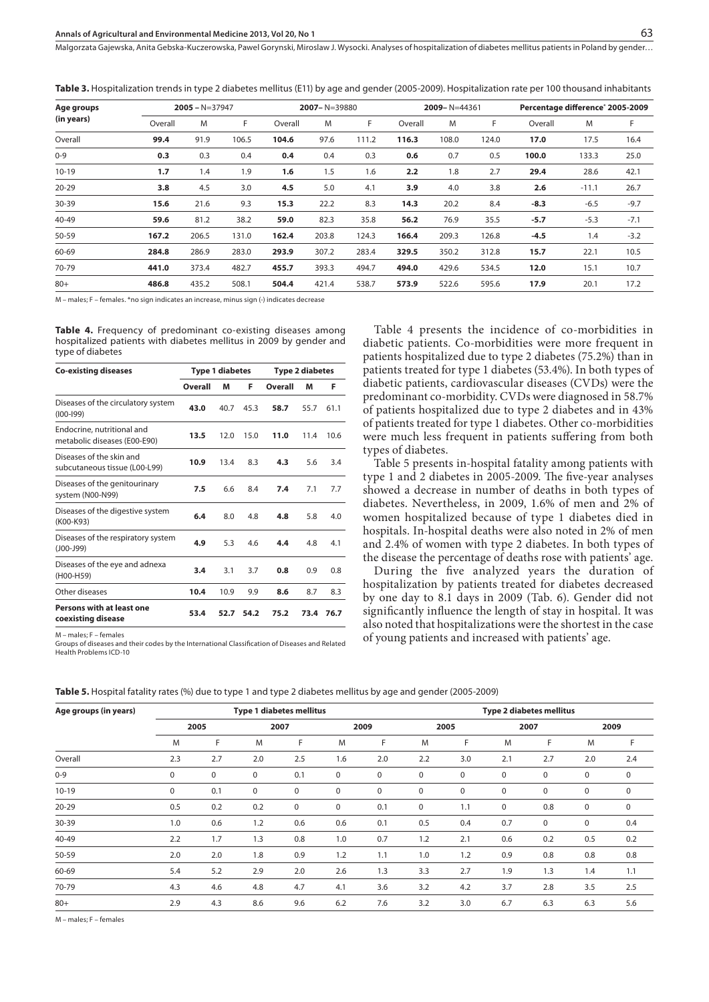**Table 3.** Hospitalization trends in type 2 diabetes mellitus (E11) by age and gender (2005-2009). Hospitalization rate per 100 thousand inhabitants

| Age groups |         | $2005 - N = 37947$ |       |         |       | $2007 - N = 39880$ |         | $2009 - N = 44361$ |       | Percentage difference <sup>*</sup> 2005-2009 |         |        |  |
|------------|---------|--------------------|-------|---------|-------|--------------------|---------|--------------------|-------|----------------------------------------------|---------|--------|--|
| (in years) | Overall | M                  | F     | Overall | M     | F                  | Overall | M                  | F     | Overall                                      | M       | F      |  |
| Overall    | 99.4    | 91.9               | 106.5 | 104.6   | 97.6  | 111.2              | 116.3   | 108.0              | 124.0 | 17.0                                         | 17.5    | 16.4   |  |
| $0 - 9$    | 0.3     | 0.3                | 0.4   | 0.4     | 0.4   | 0.3                | 0.6     | 0.7                | 0.5   | 100.0                                        | 133.3   | 25.0   |  |
| $10 - 19$  | 1.7     | 1.4                | 1.9   | 1.6     | 1.5   | 1.6                | 2.2     | 1.8                | 2.7   | 29.4                                         | 28.6    | 42.1   |  |
| $20 - 29$  | 3.8     | 4.5                | 3.0   | 4.5     | 5.0   | 4.1                | 3.9     | 4.0                | 3.8   | 2.6                                          | $-11.1$ | 26.7   |  |
| 30-39      | 15.6    | 21.6               | 9.3   | 15.3    | 22.2  | 8.3                | 14.3    | 20.2               | 8.4   | $-8.3$                                       | $-6.5$  | $-9.7$ |  |
| $40 - 49$  | 59.6    | 81.2               | 38.2  | 59.0    | 82.3  | 35.8               | 56.2    | 76.9               | 35.5  | $-5.7$                                       | $-5.3$  | $-7.1$ |  |
| 50-59      | 167.2   | 206.5              | 131.0 | 162.4   | 203.8 | 124.3              | 166.4   | 209.3              | 126.8 | $-4.5$                                       | 1.4     | $-3.2$ |  |
| 60-69      | 284.8   | 286.9              | 283.0 | 293.9   | 307.2 | 283.4              | 329.5   | 350.2              | 312.8 | 15.7                                         | 22.1    | 10.5   |  |
| 70-79      | 441.0   | 373.4              | 482.7 | 455.7   | 393.3 | 494.7              | 494.0   | 429.6              | 534.5 | 12.0                                         | 15.1    | 10.7   |  |
| $80+$      | 486.8   | 435.2              | 508.1 | 504.4   | 421.4 | 538.7              | 573.9   | 522.6              | 595.6 | 17.9                                         | 20.1    | 17.2   |  |

M – males; F – females. \*no sign indicates an increase, minus sign (-) indicates decrease

**Table 4.** Frequency of predominant co-existing diseases among hospitalized patients with diabetes mellitus in 2009 by gender and type of diabetes

| <b>Co-existing diseases</b>                                |         | <b>Type 1 diabetes</b> |      | <b>Type 2 diabetes</b> |      |      |  |
|------------------------------------------------------------|---------|------------------------|------|------------------------|------|------|--|
|                                                            | Overall | M                      | F    | Overall                | M    | F    |  |
| Diseases of the circulatory system<br>$(100 - 199)$        | 43.0    | 40.7                   | 45.3 | 58.7                   | 55.7 | 61.1 |  |
| Endocrine, nutritional and<br>metabolic diseases (E00-E90) | 13.5    | 12.0                   | 15.0 | 11.0                   | 11.4 | 10.6 |  |
| Diseases of the skin and<br>subcutaneous tissue (L00-L99)  | 10.9    | 13.4                   | 8.3  | 4.3                    | 5.6  | 3.4  |  |
| Diseases of the genitourinary<br>system (N00-N99)          | 7.5     | 6.6                    | 8.4  | 7.4                    | 7.1  | 7.7  |  |
| Diseases of the digestive system<br>(K00-K93)              | 6.4     | 8.0                    | 4.8  | 4.8                    | 5.8  | 4.0  |  |
| Diseases of the respiratory system<br>$(JOO-J99)$          | 4.9     | 5.3                    | 4.6  | 4.4                    | 4.8  | 4.1  |  |
| Diseases of the eye and adnexa<br>(H00-H59)                | 3.4     | 3.1                    | 3.7  | 0.8                    | 0.9  | 0.8  |  |
| Other diseases                                             | 10.4    | 10.9                   | 9.9  | 8.6                    | 8.7  | 8.3  |  |
| Persons with at least one<br>coexisting disease            | 53.4    | 52.7                   | 54.2 | 75.2                   | 73.4 | 76.7 |  |

M – males; F – females

Groups of diseases and their codes by the International Classification of Diseases and Related Health Problems ICD-10

Table 4 presents the incidence of co-morbidities in diabetic patients. Co-morbidities were more frequent in patients hospitalized due to type 2 diabetes (75.2%) than in patients treated for type 1 diabetes (53.4%). In both types of diabetic patients, cardiovascular diseases (CVDs) were the predominant co-morbidity. CVDs were diagnosed in 58.7% of patients hospitalized due to type 2 diabetes and in 43% of patients treated for type 1 diabetes. Other co-morbidities were much less frequent in patients suffering from both types of diabetes.

Table 5 presents in-hospital fatality among patients with type 1 and 2 diabetes in 2005-2009. The five-year analyses showed a decrease in number of deaths in both types of diabetes. Nevertheless, in 2009, 1.6% of men and 2% of women hospitalized because of type 1 diabetes died in hospitals. In-hospital deaths were also noted in 2% of men and 2.4% of women with type 2 diabetes. In both types of the disease the percentage of deaths rose with patients' age.

During the five analyzed years the duration of hospitalization by patients treated for diabetes decreased by one day to 8.1 days in 2009 (Tab. 6). Gender did not significantly influence the length of stay in hospital. It was also noted that hospitalizations were the shortest in the case of young patients and increased with patients' age.

| Age groups (in years) |             |     |      | <b>Type 1 diabetes mellitus</b> |             | <b>Type 2 diabetes mellitus</b> |             |             |     |             |     |             |
|-----------------------|-------------|-----|------|---------------------------------|-------------|---------------------------------|-------------|-------------|-----|-------------|-----|-------------|
|                       | 2005        |     | 2007 |                                 |             | 2009                            |             | 2005        |     | 2007        |     | 2009        |
|                       | M           | F   | M    | F                               | M           | F                               | M           | F           | M   | F           | M   | F.          |
| Overall               | 2.3         | 2.7 | 2.0  | 2.5                             | 1.6         | 2.0                             | 2.2         | 3.0         | 2.1 | 2.7         | 2.0 | 2.4         |
| $0 - 9$               | $\mathbf 0$ | 0   | 0    | 0.1                             | 0           | 0                               | 0           | 0           | 0   | 0           | 0   | 0           |
| $10 - 19$             | $\mathbf 0$ | 0.1 | 0    | 0                               | $\mathbf 0$ | $\mathbf 0$                     | $\mathbf 0$ | $\mathbf 0$ | 0   | $\mathbf 0$ | 0   | $\mathbf 0$ |
| 20-29                 | 0.5         | 0.2 | 0.2  | 0                               | $\mathbf 0$ | 0.1                             | $\mathbf 0$ | 1.1         | 0   | 0.8         | 0   | $\mathbf 0$ |
| 30-39                 | 1.0         | 0.6 | 1.2  | 0.6                             | 0.6         | 0.1                             | 0.5         | 0.4         | 0.7 | $\mathbf 0$ | 0   | 0.4         |
| 40-49                 | 2.2         | 1.7 | 1.3  | 0.8                             | 1.0         | 0.7                             | 1.2         | 2.1         | 0.6 | 0.2         | 0.5 | 0.2         |
| 50-59                 | 2.0         | 2.0 | 1.8  | 0.9                             | 1.2         | 1.1                             | 1.0         | 1.2         | 0.9 | 0.8         | 0.8 | 0.8         |
| 60-69                 | 5.4         | 5.2 | 2.9  | 2.0                             | 2.6         | 1.3                             | 3.3         | 2.7         | 1.9 | 1.3         | 1.4 | 1.1         |
| 70-79                 | 4.3         | 4.6 | 4.8  | 4.7                             | 4.1         | 3.6                             | 3.2         | 4.2         | 3.7 | 2.8         | 3.5 | 2.5         |
| $80+$                 | 2.9         | 4.3 | 8.6  | 9.6                             | 6.2         | 7.6                             | 3.2         | 3.0         | 6.7 | 6.3         | 6.3 | 5.6         |

**Table 5.** Hospital fatality rates (%) due to type 1 and type 2 diabetes mellitus by age and gender (2005-2009)

M – males; F – females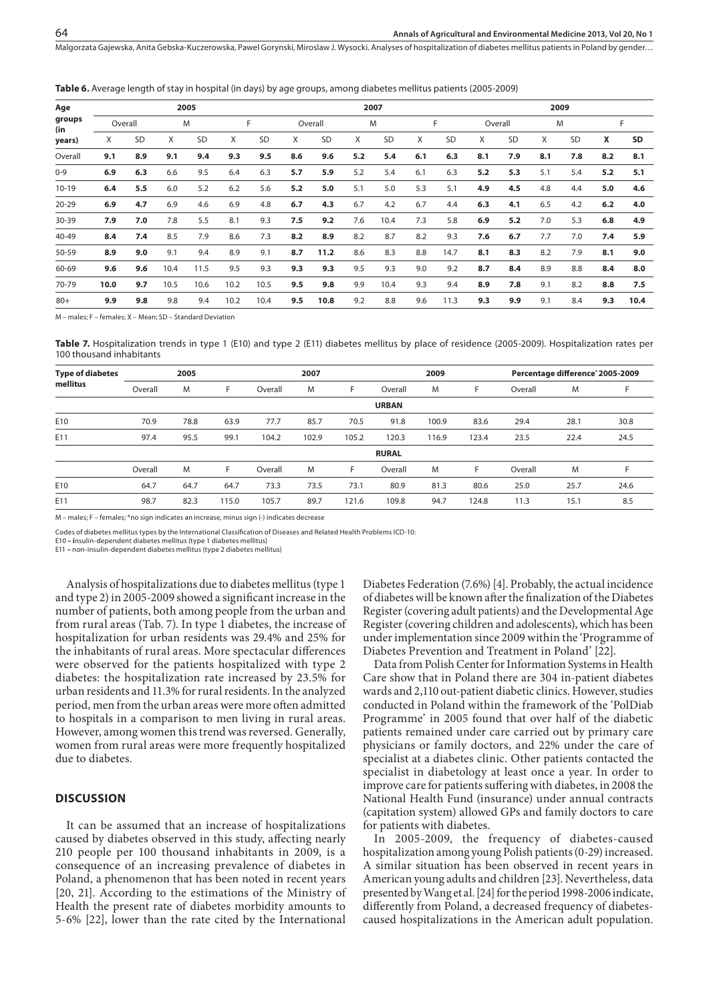| Age           |         |     |      | 2005 |      |           |     | 2007      |     |      |     |           |     |           | 2009 |           |     |      |  |
|---------------|---------|-----|------|------|------|-----------|-----|-----------|-----|------|-----|-----------|-----|-----------|------|-----------|-----|------|--|
| groups<br>(in | Overall |     |      | M    |      | F         |     | Overall   |     | M    |     | F         |     | Overall   | M    |           | F   |      |  |
| years)        | X       | SD  | X    | SD   | X    | <b>SD</b> | X   | <b>SD</b> | X   | SD   | X   | <b>SD</b> | X   | <b>SD</b> | X    | <b>SD</b> | x   | SD   |  |
| Overall       | 9.1     | 8.9 | 9.1  | 9.4  | 9.3  | 9.5       | 8.6 | 9.6       | 5.2 | 5.4  | 6.1 | 6.3       | 8.1 | 7.9       | 8.1  | 7.8       | 8.2 | 8.1  |  |
| $0 - 9$       | 6.9     | 6.3 | 6.6  | 9.5  | 6.4  | 6.3       | 5.7 | 5.9       | 5.2 | 5.4  | 6.1 | 6.3       | 5.2 | 5.3       | 5.1  | 5.4       | 5.2 | 5.1  |  |
| $10-19$       | 6.4     | 5.5 | 6.0  | 5.2  | 6.2  | 5.6       | 5.2 | 5.0       | 5.1 | 5.0  | 5.3 | 5.1       | 4.9 | 4.5       | 4.8  | 4.4       | 5.0 | 4.6  |  |
| $20 - 29$     | 6.9     | 4.7 | 6.9  | 4.6  | 6.9  | 4.8       | 6.7 | 4.3       | 6.7 | 4.2  | 6.7 | 4.4       | 6.3 | 4.1       | 6.5  | 4.2       | 6.2 | 4.0  |  |
| 30-39         | 7.9     | 7.0 | 7.8  | 5.5  | 8.1  | 9.3       | 7.5 | 9.2       | 7.6 | 10.4 | 7.3 | 5.8       | 6.9 | 5.2       | 7.0  | 5.3       | 6.8 | 4.9  |  |
| $40 - 49$     | 8.4     | 7.4 | 8.5  | 7.9  | 8.6  | 7.3       | 8.2 | 8.9       | 8.2 | 8.7  | 8.2 | 9.3       | 7.6 | 6.7       | 7.7  | 7.0       | 7.4 | 5.9  |  |
| $50 - 59$     | 8.9     | 9.0 | 9.1  | 9.4  | 8.9  | 9.1       | 8.7 | 11.2      | 8.6 | 8.3  | 8.8 | 14.7      | 8.1 | 8.3       | 8.2  | 7.9       | 8.1 | 9.0  |  |
| 60-69         | 9.6     | 9.6 | 10.4 | 11.5 | 9.5  | 9.3       | 9.3 | 9.3       | 9.5 | 9.3  | 9.0 | 9.2       | 8.7 | 8.4       | 8.9  | 8.8       | 8.4 | 8.0  |  |
| 70-79         | 10.0    | 9.7 | 10.5 | 10.6 | 10.2 | 10.5      | 9.5 | 9.8       | 9.9 | 10.4 | 9.3 | 9.4       | 8.9 | 7.8       | 9.1  | 8.2       | 8.8 | 7.5  |  |
| $80+$         | 9.9     | 9.8 | 9.8  | 9.4  | 10.2 | 10.4      | 9.5 | 10.8      | 9.2 | 8.8  | 9.6 | 11.3      | 9.3 | 9.9       | 9.1  | 8.4       | 9.3 | 10.4 |  |

**Table 6.** Average length of stay in hospital (in days) by age groups, among diabetes mellitus patients (2005-2009)

M – males; F – females; X – Mean; SD – Standard Deviation

**Table 7.** Hospitalization trends in type 1 (E10) and type 2 (E11) diabetes mellitus by place of residence (2005-2009). Hospitalization rates per 100 thousand inhabitants

| <b>Type of diabetes</b> | 2005    |      |       |         | 2007  |       |              | 2009  |       | Percentage difference <sup>®</sup> 2005-2009 |      |      |
|-------------------------|---------|------|-------|---------|-------|-------|--------------|-------|-------|----------------------------------------------|------|------|
| mellitus                | Overall | M    | F     | Overall | M     | F     | Overall      | M     | F     | Overall                                      | M    |      |
|                         |         |      |       |         |       |       | <b>URBAN</b> |       |       |                                              |      |      |
| E10                     | 70.9    | 78.8 | 63.9  | 77.7    | 85.7  | 70.5  | 91.8         | 100.9 | 83.6  | 29.4                                         | 28.1 | 30.8 |
| E11                     | 97.4    | 95.5 | 99.1  | 104.2   | 102.9 | 105.2 | 120.3        | 116.9 | 123.4 | 23.5                                         | 22.4 | 24.5 |
|                         |         |      |       |         |       |       | <b>RURAL</b> |       |       |                                              |      |      |
|                         | Overall | M    | F     | Overall | M     | F     | Overall      | M     | F     | Overall                                      | M    | F    |
| E10                     | 64.7    | 64.7 | 64.7  | 73.3    | 73.5  | 73.1  | 80.9         | 81.3  | 80.6  | 25.0                                         | 25.7 | 24.6 |
| E11                     | 98.7    | 82.3 | 115.0 | 105.7   | 89.7  | 121.6 | 109.8        | 94.7  | 124.8 | 11.3                                         | 15.1 | 8.5  |
|                         |         |      |       |         |       |       |              |       |       |                                              |      |      |

M – males; F – females; \*no sign indicates an increase, minus sign (-) indicates decrease

Codes of diabetes mellitus types by the International Classification of Diseases and Related Health Problems ICD-10: E10 **– i**nsulin-dependent diabetes mellitus (type 1 diabetes mellitus)

E11 **–** non-insulin-dependent diabetes mellitus (type 2 diabetes mellitus)

Analysis of hospitalizations due to diabetes mellitus (type 1 and type 2) in 2005-2009 showed a significant increase in the number of patients, both among people from the urban and from rural areas (Tab. 7). In type 1 diabetes, the increase of hospitalization for urban residents was 29.4% and 25% for the inhabitants of rural areas. More spectacular differences were observed for the patients hospitalized with type 2 diabetes: the hospitalization rate increased by 23.5% for urban residents and 11.3% for rural residents. In the analyzed period, men from the urban areas were more often admitted to hospitals in a comparison to men living in rural areas. However, among women this trend was reversed. Generally, women from rural areas were more frequently hospitalized due to diabetes.

#### **DISCUSSION**

It can be assumed that an increase of hospitalizations caused by diabetes observed in this study, affecting nearly 210 people per 100 thousand inhabitants in 2009, is a consequence of an increasing prevalence of diabetes in Poland, a phenomenon that has been noted in recent years [20, 21]. According to the estimations of the Ministry of Health the present rate of diabetes morbidity amounts to 5-6% [22], lower than the rate cited by the International Diabetes Federation (7.6%) [4]. Probably, the actual incidence of diabetes will be known after the finalization of the Diabetes Register (covering adult patients) and the Developmental Age Register (covering children and adolescents), which has been under implementation since 2009 within the 'Programme of Diabetes Prevention and Treatment in Poland' [22].

Data from Polish Center for Information Systems in Health Care show that in Poland there are 304 in-patient diabetes wards and 2,110 out-patient diabetic clinics. However, studies conducted in Poland within the framework of the 'PolDiab Programme' in 2005 found that over half of the diabetic patients remained under care carried out by primary care physicians or family doctors, and 22% under the care of specialist at a diabetes clinic. Other patients contacted the specialist in diabetology at least once a year. In order to improve care for patients suffering with diabetes, in 2008 the National Health Fund (insurance) under annual contracts (capitation system) allowed GPs and family doctors to care for patients with diabetes.

In 2005-2009, the frequency of diabetes-caused hospitalization among young Polish patients (0-29) increased. A similar situation has been observed in recent years in American young adults and children [23]. Nevertheless, data presented by Wang et al. [24] for the period 1998-2006 indicate, differently from Poland, a decreased frequency of diabetescaused hospitalizations in the American adult population.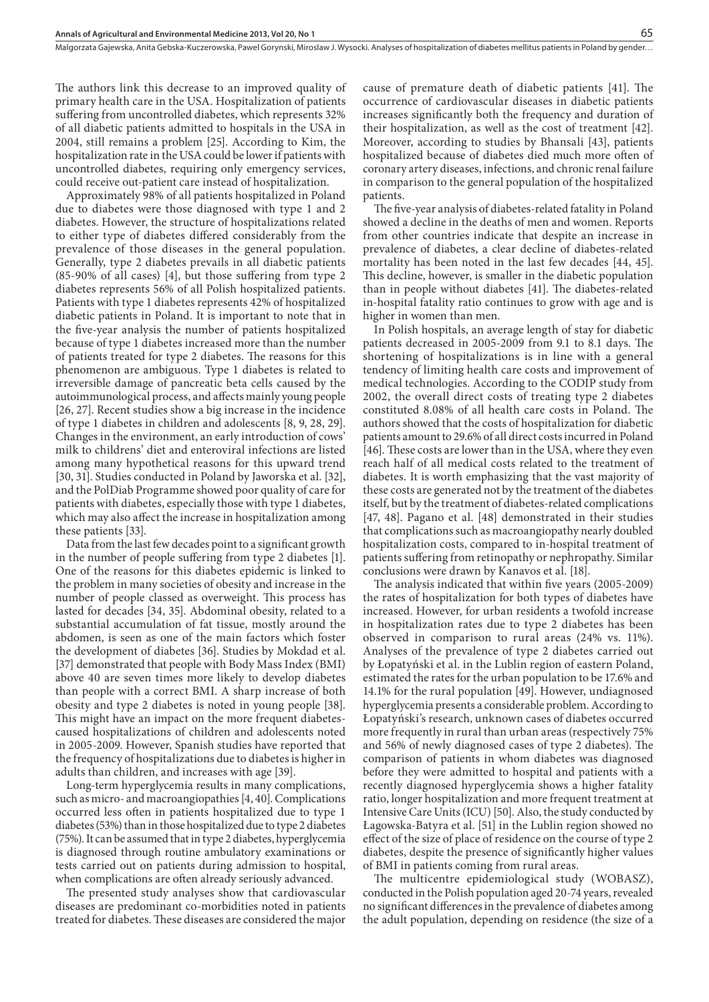The authors link this decrease to an improved quality of primary health care in the USA. Hospitalization of patients suffering from uncontrolled diabetes, which represents 32% of all diabetic patients admitted to hospitals in the USA in 2004, still remains a problem [25]. According to Kim, the hospitalization rate in the USA could be lower if patients with uncontrolled diabetes, requiring only emergency services, could receive out-patient care instead of hospitalization.

Approximately 98% of all patients hospitalized in Poland due to diabetes were those diagnosed with type 1 and 2 diabetes. However, the structure of hospitalizations related to either type of diabetes differed considerably from the prevalence of those diseases in the general population. Generally, type 2 diabetes prevails in all diabetic patients (85-90% of all cases) [4], but those suffering from type 2 diabetes represents 56% of all Polish hospitalized patients. Patients with type 1 diabetes represents 42% of hospitalized diabetic patients in Poland. It is important to note that in the five-year analysis the number of patients hospitalized because of type 1 diabetes increased more than the number of patients treated for type 2 diabetes. The reasons for this phenomenon are ambiguous. Type 1 diabetes is related to irreversible damage of pancreatic beta cells caused by the autoimmunological process, and affects mainly young people [26, 27]. Recent studies show a big increase in the incidence of type 1 diabetes in children and adolescents [8, 9, 28, 29]. Changes in the environment, an early introduction of cows' milk to childrens' diet and enteroviral infections are listed among many hypothetical reasons for this upward trend [30, 31]. Studies conducted in Poland by Jaworska et al. [32], and the PolDiab Programme showed poor quality of care for patients with diabetes, especially those with type 1 diabetes, which may also affect the increase in hospitalization among these patients [33].

Data from the last few decades point to a significant growth in the number of people suffering from type 2 diabetes [1]. One of the reasons for this diabetes epidemic is linked to the problem in many societies of obesity and increase in the number of people classed as overweight. This process has lasted for decades [34, 35]. Abdominal obesity, related to a substantial accumulation of fat tissue, mostly around the abdomen, is seen as one of the main factors which foster the development of diabetes [36]. Studies by Mokdad et al. [37] demonstrated that people with Body Mass Index (BMI) above 40 are seven times more likely to develop diabetes than people with a correct BMI. A sharp increase of both obesity and type 2 diabetes is noted in young people [38]. This might have an impact on the more frequent diabetescaused hospitalizations of children and adolescents noted in 2005-2009. However, Spanish studies have reported that the frequency of hospitalizations due to diabetes is higher in adults than children, and increases with age [39].

Long-term hyperglycemia results in many complications, such as micro- and macroangiopathies [4, 40]. Complications occurred less often in patients hospitalized due to type 1 diabetes (53%) than in those hospitalized due to type 2 diabetes (75%). It can be assumed that in type 2 diabetes, hyperglycemia is diagnosed through routine ambulatory examinations or tests carried out on patients during admission to hospital, when complications are often already seriously advanced.

The presented study analyses show that cardiovascular diseases are predominant co-morbidities noted in patients treated for diabetes. These diseases are considered the major

cause of premature death of diabetic patients [41]. The occurrence of cardiovascular diseases in diabetic patients increases significantly both the frequency and duration of their hospitalization, as well as the cost of treatment [42]. Moreover, according to studies by Bhansali [43], patients hospitalized because of diabetes died much more often of coronary artery diseases, infections, and chronic renal failure in comparison to the general population of the hospitalized patients.

The five-year analysis of diabetes-related fatality in Poland showed a decline in the deaths of men and women. Reports from other countries indicate that despite an increase in prevalence of diabetes, a clear decline of diabetes-related mortality has been noted in the last few decades [44, 45]. This decline, however, is smaller in the diabetic population than in people without diabetes [41]. The diabetes-related in-hospital fatality ratio continues to grow with age and is higher in women than men.

In Polish hospitals, an average length of stay for diabetic patients decreased in 2005-2009 from 9.1 to 8.1 days. The shortening of hospitalizations is in line with a general tendency of limiting health care costs and improvement of medical technologies. According to the CODIP study from 2002, the overall direct costs of treating type 2 diabetes constituted 8.08% of all health care costs in Poland. The authors showed that the costs of hospitalization for diabetic patients amount to 29.6% of all direct costs incurred in Poland [46]. These costs are lower than in the USA, where they even reach half of all medical costs related to the treatment of diabetes. It is worth emphasizing that the vast majority of these costs are generated not by the treatment of the diabetes itself, but by the treatment of diabetes-related complications [47, 48]. Pagano et al. [48] demonstrated in their studies that complications such as macroangiopathy nearly doubled hospitalization costs, compared to in-hospital treatment of patients suffering from retinopathy or nephropathy. Similar conclusions were drawn by Kanavos et al. [18].

The analysis indicated that within five years (2005-2009) the rates of hospitalization for both types of diabetes have increased. However, for urban residents a twofold increase in hospitalization rates due to type 2 diabetes has been observed in comparison to rural areas (24% vs. 11%). Analyses of the prevalence of type 2 diabetes carried out by Łopatyński et al. in the Lublin region of eastern Poland, estimated the rates for the urban population to be 17.6% and 14.1% for the rural population [49]. However, undiagnosed hyperglycemia presents a considerable problem. According to Łopatyński's research, unknown cases of diabetes occurred more frequently in rural than urban areas (respectively 75% and 56% of newly diagnosed cases of type 2 diabetes). The comparison of patients in whom diabetes was diagnosed before they were admitted to hospital and patients with a recently diagnosed hyperglycemia shows a higher fatality ratio, longer hospitalization and more frequent treatment at Intensive Care Units (ICU) [50]. Also, the study conducted by Łagowska-Batyra et al. [51] in the Lublin region showed no effect of the size of place of residence on the course of type 2 diabetes, despite the presence of significantly higher values of BMI in patients coming from rural areas.

The multicentre epidemiological study (WOBASZ), conducted in the Polish population aged 20-74 years, revealed no significant differences in the prevalence of diabetes among the adult population, depending on residence (the size of a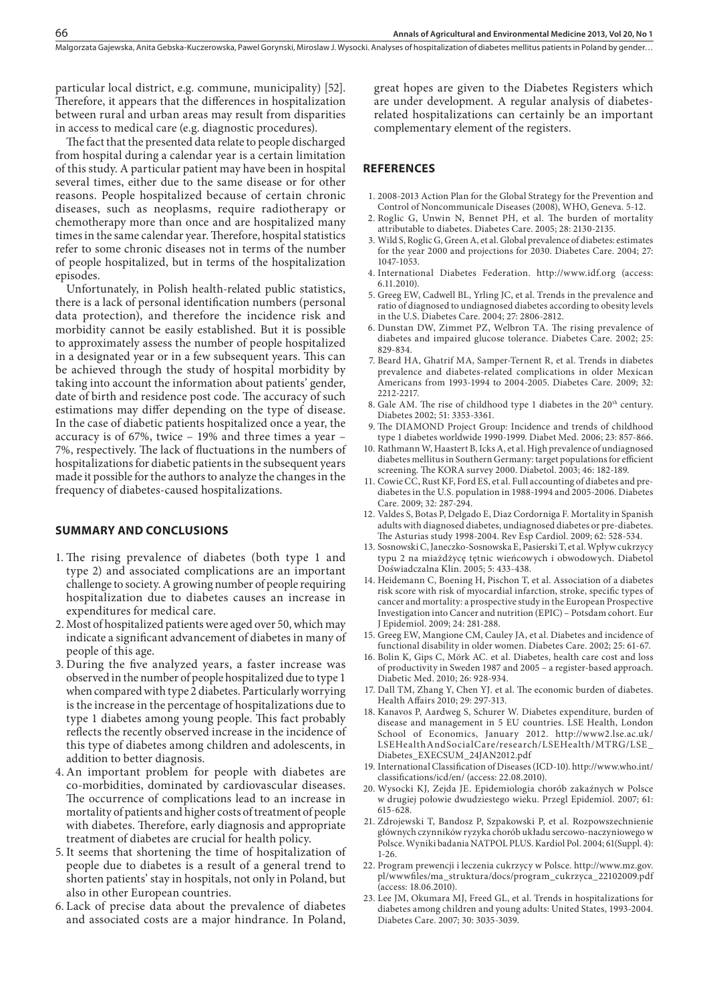particular local district, e.g. commune, municipality) [52]. Therefore, it appears that the differences in hospitalization between rural and urban areas may result from disparities in access to medical care (e.g. diagnostic procedures).

The fact that the presented data relate to people discharged from hospital during a calendar year is a certain limitation of this study. A particular patient may have been in hospital several times, either due to the same disease or for other reasons. People hospitalized because of certain chronic diseases, such as neoplasms, require radiotherapy or chemotherapy more than once and are hospitalized many times in the same calendar year. Therefore, hospital statistics refer to some chronic diseases not in terms of the number of people hospitalized, but in terms of the hospitalization episodes.

Unfortunately, in Polish health-related public statistics, there is a lack of personal identification numbers (personal data protection), and therefore the incidence risk and morbidity cannot be easily established. But it is possible to approximately assess the number of people hospitalized in a designated year or in a few subsequent years. This can be achieved through the study of hospital morbidity by taking into account the information about patients' gender, date of birth and residence post code. The accuracy of such estimations may differ depending on the type of disease. In the case of diabetic patients hospitalized once a year, the accuracy is of 67%, twice – 19% and three times a year – 7%, respectively. The lack of fluctuations in the numbers of hospitalizations for diabetic patients in the subsequent years made it possible for the authors to analyze the changes in the frequency of diabetes-caused hospitalizations.

#### **SUMMARY AND CONCLUSIONS**

- 1. The rising prevalence of diabetes (both type 1 and type 2) and associated complications are an important challenge to society. A growing number of people requiring hospitalization due to diabetes causes an increase in expenditures for medical care.
- 2. Most of hospitalized patients were aged over 50, which may indicate a significant advancement of diabetes in many of people of this age.
- 3. During the five analyzed years, a faster increase was observed in the number of people hospitalized due to type 1 when compared with type 2 diabetes. Particularly worrying is the increase in the percentage of hospitalizations due to type 1 diabetes among young people. This fact probably reflects the recently observed increase in the incidence of this type of diabetes among children and adolescents, in addition to better diagnosis.
- 4. An important problem for people with diabetes are co-morbidities, dominated by cardiovascular diseases. The occurrence of complications lead to an increase in mortality of patients and higher costs of treatment of people with diabetes. Therefore, early diagnosis and appropriate treatment of diabetes are crucial for health policy.
- 5. It seems that shortening the time of hospitalization of people due to diabetes is a result of a general trend to shorten patients' stay in hospitals, not only in Poland, but also in other European countries.
- 6. Lack of precise data about the prevalence of diabetes and associated costs are a major hindrance. In Poland,

great hopes are given to the Diabetes Registers which are under development. A regular analysis of diabetesrelated hospitalizations can certainly be an important complementary element of the registers.

#### **REFERENCES**

- 1. 2008-2013 Action Plan for the Global Strategy for the Prevention and Control of Noncommunicale Diseases (2008), WHO, Geneva. 5-12.
- 2. Roglic G, Unwin N, Bennet PH, et al. The burden of mortality attributable to diabetes. Diabetes Care. 2005; 28: 2130-2135.
- 3. Wild S, Roglic G, Green A, et al. Global prevalence of diabetes: estimates for the year 2000 and projections for 2030. Diabetes Care. 2004; 27: 1047-1053.
- 4. International Diabetes Federation. http://www.idf.org (access: 6.11.2010).
- 5. Greeg EW, Cadwell BL, Yrling JC, et al. Trends in the prevalence and ratio of diagnosed to undiagnosed diabetes according to obesity levels in the U.S. Diabetes Care. 2004; 27: 2806-2812.
- 6. Dunstan DW, Zimmet PZ, Welbron TA. The rising prevalence of diabetes and impaired glucose tolerance. Diabetes Care. 2002; 25: 829-834.
- 7. Beard HA, Ghatrif MA, Samper-Ternent R, et al. Trends in diabetes prevalence and diabetes-related complications in older Mexican Americans from 1993-1994 to 2004-2005. Diabetes Care. 2009; 32: 2212-2217.
- 8. Gale AM. The rise of childhood type 1 diabetes in the 20<sup>th</sup> century. Diabetes 2002; 51: 3353-3361.
- 9. The DIAMOND Project Group: Incidence and trends of childhood type 1 diabetes worldwide 1990-1999. Diabet Med. 2006; 23: 857-866.
- 10. Rathmann W, Haastert B, Icks A, et al. High prevalence of undiagnosed diabetes mellitus in Southern Germany: target populations for efficient screening. The KORA survey 2000. Diabetol. 2003; 46: 182-189.
- 11. Cowie CC, Rust KF, Ford ES, et al. Full accounting of diabetes and prediabetes in the U.S. population in 1988-1994 and 2005-2006. Diabetes Care. 2009; 32: 287-294.
- 12. Valdes S, Botas P, Delgado E, Diaz Cordorniga F. Mortality in Spanish adults with diagnosed diabetes, undiagnosed diabetes or pre-diabetes. The Asturias study 1998-2004. Rev Esp Cardiol. 2009; 62: 528-534.
- 13. Sosnowski C, Janeczko-Sosnowska E, Pasierski T, et al. Wpływ cukrzycy typu 2 na miażdżycę tętnic wieńcowych i obwodowych. Diabetol Doświadczalna Klin. 2005; 5: 433-438.
- 14. Heidemann C, Boening H, Pischon T, et al. Association of a diabetes risk score with risk of myocardial infarction, stroke, specific types of cancer and mortality: a prospective study in the European Prospective Investigation into Cancer and nutrition (EPIC) – Potsdam cohort. Eur J Epidemiol. 2009; 24: 281-288.
- 15. Greeg EW, Mangione CM, Cauley JA, et al. Diabetes and incidence of functional disability in older women. Diabetes Care. 2002; 25: 61-67.
- 16. Bolin K, Gips C, Mörk AC. et al. Diabetes, health care cost and loss of productivity in Sweden 1987 and 2005 – a register-based approach. Diabetic Med. 2010; 26: 928-934.
- 17. Dall TM, Zhang Y, Chen YJ. et al. The economic burden of diabetes. Health Affairs 2010; 29: 297-313.
- 18. Kanavos P, Aardweg S, Schurer W. Diabetes expenditure, burden of disease and management in 5 EU countries. LSE Health, London School of Economics, January 2012. http://www2.lse.ac.uk/ LSEHealthAndSocialCare/research/LSEHealth/MTRG/LSE\_ Diabetes\_EXECSUM\_24JAN2012.pdf
- 19. International Classification of Diseases (ICD-10). http://www.who.int/ classifications/icd/en/ (access: 22.08.2010).
- 20. Wysocki KJ, Zejda JE. Epidemiologia chorób zakaźnych w Polsce w drugiej połowie dwudziestego wieku. Przegl Epidemiol. 2007; 61: 615-628.
- 21. Zdrojewski T, Bandosz P, Szpakowski P, et al. Rozpowszechnienie głównych czynników ryzyka chorób układu sercowo-naczyniowego w Polsce. Wyniki badania NATPOL PLUS. Kardiol Pol. 2004; 61(Suppl. 4): 1-26.
- 22. Program prewencji i leczenia cukrzycy w Polsce. http://www.mz.gov. pl/wwwfiles/ma\_struktura/docs/program\_cukrzyca\_22102009.pdf (access: 18.06.2010).
- 23. Lee JM, Okumara MJ, Freed GL, et al. Trends in hospitalizations for diabetes among children and young adults: United States, 1993-2004. Diabetes Care. 2007; 30: 3035-3039.